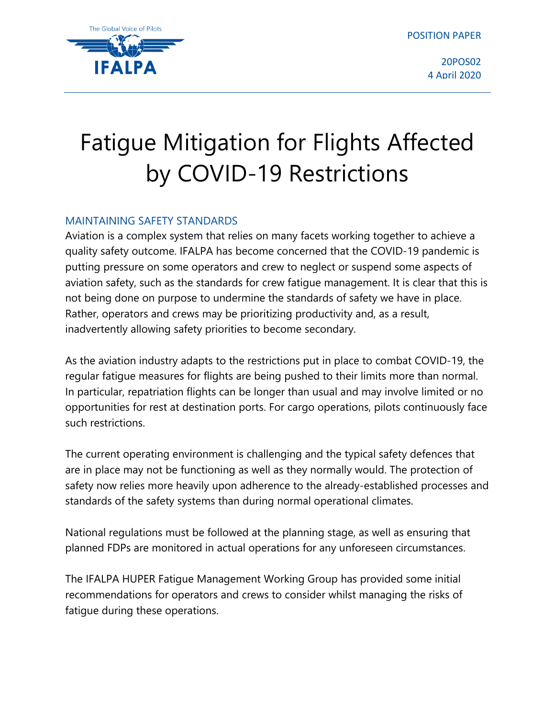POSITION PAPER



20POS02 4 April 2020

# Fatigue Mitigation for Flights Affected by COVID-19 Restrictions

## MAINTAINING SAFETY STANDARDS

Aviation is a complex system that relies on many facets working together to achieve a quality safety outcome. IFALPA has become concerned that the COVID-19 pandemic is putting pressure on some operators and crew to neglect or suspend some aspects of aviation safety, such as the standards for crew fatigue management. It is clear that this is not being done on purpose to undermine the standards of safety we have in place. Rather, operators and crews may be prioritizing productivity and, as a result, inadvertently allowing safety priorities to become secondary.

As the aviation industry adapts to the restrictions put in place to combat COVID-19, the regular fatigue measures for flights are being pushed to their limits more than normal. In particular, repatriation flights can be longer than usual and may involve limited or no opportunities for rest at destination ports. For cargo operations, pilots continuously face such restrictions.

The current operating environment is challenging and the typical safety defences that are in place may not be functioning as well as they normally would. The protection of safety now relies more heavily upon adherence to the already-established processes and standards of the safety systems than during normal operational climates.

National regulations must be followed at the planning stage, as well as ensuring that planned FDPs are monitored in actual operations for any unforeseen circumstances.

The IFALPA HUPER Fatigue Management Working Group has provided some initial recommendations for operators and crews to consider whilst managing the risks of fatigue during these operations.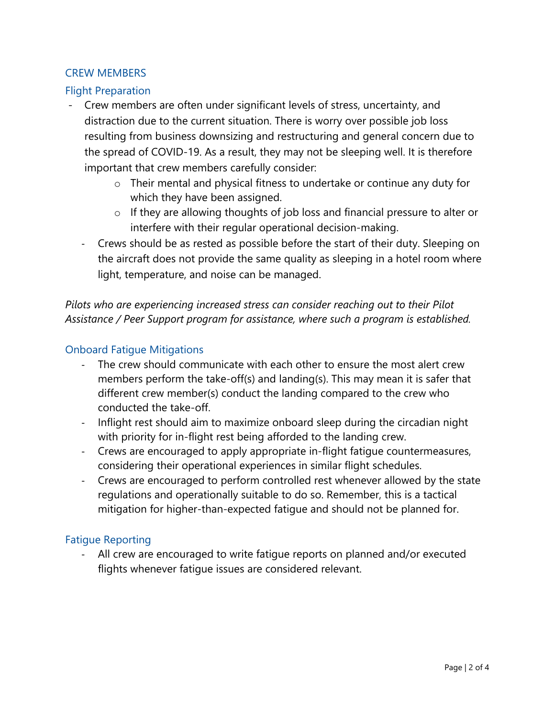## CREW MEMBERS

## Flight Preparation

- Crew members are often under significant levels of stress, uncertainty, and distraction due to the current situation. There is worry over possible job loss resulting from business downsizing and restructuring and general concern due to the spread of COVID-19. As a result, they may not be sleeping well. It is therefore important that crew members carefully consider:
	- o Their mental and physical fitness to undertake or continue any duty for which they have been assigned.
	- o If they are allowing thoughts of job loss and financial pressure to alter or interfere with their regular operational decision-making.
	- Crews should be as rested as possible before the start of their duty. Sleeping on the aircraft does not provide the same quality as sleeping in a hotel room where light, temperature, and noise can be managed.

*Pilots who are experiencing increased stress can consider reaching out to their Pilot Assistance / Peer Support program for assistance, where such a program is established.*

## Onboard Fatigue Mitigations

- The crew should communicate with each other to ensure the most alert crew members perform the take-off(s) and landing(s). This may mean it is safer that different crew member(s) conduct the landing compared to the crew who conducted the take-off.
- Inflight rest should aim to maximize onboard sleep during the circadian night with priority for in-flight rest being afforded to the landing crew.
- Crews are encouraged to apply appropriate in-flight fatigue countermeasures, considering their operational experiences in similar flight schedules.
- Crews are encouraged to perform controlled rest whenever allowed by the state regulations and operationally suitable to do so. Remember, this is a tactical mitigation for higher-than-expected fatigue and should not be planned for.

#### Fatigue Reporting

- All crew are encouraged to write fatigue reports on planned and/or executed flights whenever fatigue issues are considered relevant.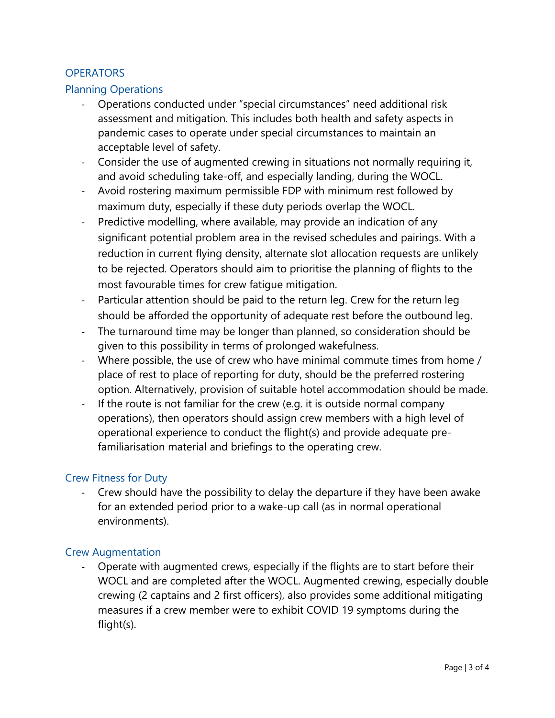## **OPERATORS**

#### Planning Operations

- Operations conducted under "special circumstances" need additional risk assessment and mitigation. This includes both health and safety aspects in pandemic cases to operate under special circumstances to maintain an acceptable level of safety.
- Consider the use of augmented crewing in situations not normally requiring it, and avoid scheduling take-off, and especially landing, during the WOCL.
- Avoid rostering maximum permissible FDP with minimum rest followed by maximum duty, especially if these duty periods overlap the WOCL.
- Predictive modelling, where available, may provide an indication of any significant potential problem area in the revised schedules and pairings. With a reduction in current flying density, alternate slot allocation requests are unlikely to be rejected. Operators should aim to prioritise the planning of flights to the most favourable times for crew fatigue mitigation.
- Particular attention should be paid to the return leg. Crew for the return leg should be afforded the opportunity of adequate rest before the outbound leg.
- The turnaround time may be longer than planned, so consideration should be given to this possibility in terms of prolonged wakefulness.
- Where possible, the use of crew who have minimal commute times from home / place of rest to place of reporting for duty, should be the preferred rostering option. Alternatively, provision of suitable hotel accommodation should be made.
- If the route is not familiar for the crew (e.g. it is outside normal company operations), then operators should assign crew members with a high level of operational experience to conduct the flight(s) and provide adequate prefamiliarisation material and briefings to the operating crew.

## Crew Fitness for Duty

- Crew should have the possibility to delay the departure if they have been awake for an extended period prior to a wake-up call (as in normal operational environments).

#### Crew Augmentation

- Operate with augmented crews, especially if the flights are to start before their WOCL and are completed after the WOCL. Augmented crewing, especially double crewing (2 captains and 2 first officers), also provides some additional mitigating measures if a crew member were to exhibit COVID 19 symptoms during the flight(s).